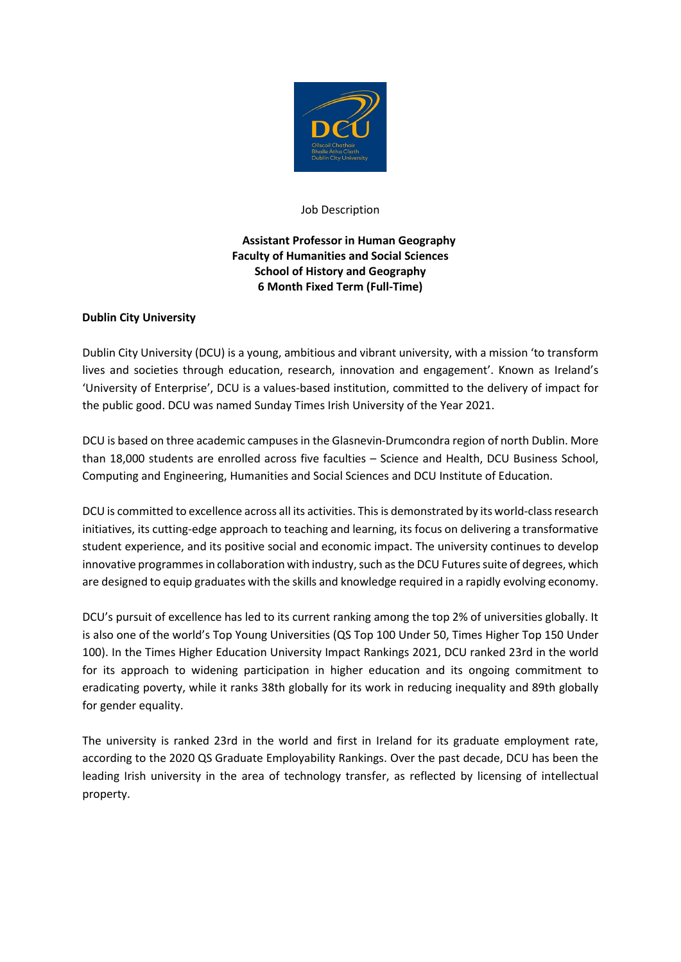

### Job Description

# **Assistant Professor in Human Geography Faculty of Humanities and Social Sciences School of History and Geography 6 Month Fixed Term (Full-Time)**

## **Dublin City University**

Dublin City University (DCU) is a young, ambitious and vibrant university, with a mission 'to transform lives and societies through education, research, innovation and engagement'. Known as Ireland's 'University of Enterprise', DCU is a values-based institution, committed to the delivery of impact for the public good. DCU was named Sunday Times Irish University of the Year 2021.

DCU is based on three academic campuses in the Glasnevin-Drumcondra region of north Dublin. More than 18,000 students are enrolled across five faculties – Science and Health, DCU Business School, Computing and Engineering, Humanities and Social Sciences and DCU Institute of Education.

DCU is committed to excellence across all its activities. This is demonstrated by its world-class research initiatives, its cutting-edge approach to teaching and learning, its focus on delivering a transformative student experience, and its positive social and economic impact. The university continues to develop innovative programmes in collaboration with industry, such as the DCU Futures suite of degrees, which are designed to equip graduates with the skills and knowledge required in a rapidly evolving economy.

DCU's pursuit of excellence has led to its current ranking among the top 2% of universities globally. It is also one of the world's Top Young Universities (QS Top 100 Under 50, Times Higher Top 150 Under 100). In the Times Higher Education University Impact Rankings 2021, DCU ranked 23rd in the world for its approach to widening participation in higher education and its ongoing commitment to eradicating poverty, while it ranks 38th globally for its work in reducing inequality and 89th globally for gender equality.

The university is ranked 23rd in the world and first in Ireland for its graduate employment rate, according to the 2020 QS Graduate Employability Rankings. Over the past decade, DCU has been the leading Irish university in the area of technology transfer, as reflected by licensing of intellectual property.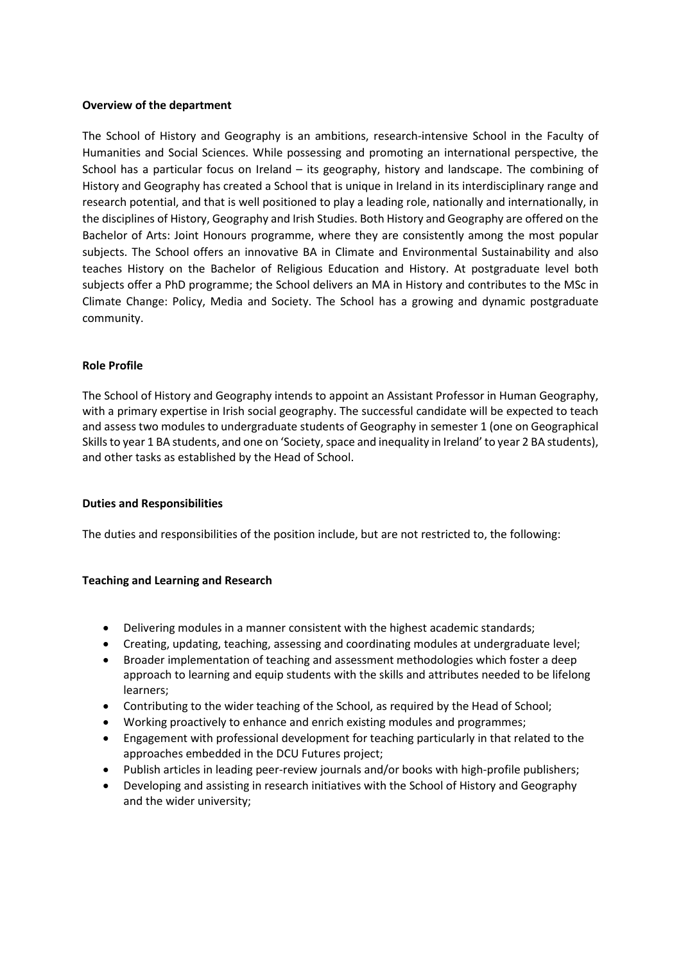## **Overview of the department**

The School of History and Geography is an ambitions, research-intensive School in the Faculty of Humanities and Social Sciences. While possessing and promoting an international perspective, the School has a particular focus on Ireland – its geography, history and landscape. The combining of History and Geography has created a School that is unique in Ireland in its interdisciplinary range and research potential, and that is well positioned to play a leading role, nationally and internationally, in the disciplines of History, Geography and Irish Studies. Both History and Geography are offered on the Bachelor of Arts: Joint Honours programme, where they are consistently among the most popular subjects. The School offers an innovative BA in Climate and Environmental Sustainability and also teaches History on the Bachelor of Religious Education and History. At postgraduate level both subjects offer a PhD programme; the School delivers an MA in History and contributes to the MSc in Climate Change: Policy, Media and Society. The School has a growing and dynamic postgraduate community.

### **Role Profile**

The School of History and Geography intends to appoint an Assistant Professor in Human Geography, with a primary expertise in Irish social geography. The successful candidate will be expected to teach and assess two modules to undergraduate students of Geography in semester 1 (one on Geographical Skills to year 1 BA students, and one on 'Society, space and inequality in Ireland' to year 2 BA students), and other tasks as established by the Head of School.

#### **Duties and Responsibilities**

The duties and responsibilities of the position include, but are not restricted to, the following:

## **Teaching and Learning and Research**

- Delivering modules in a manner consistent with the highest academic standards;
- Creating, updating, teaching, assessing and coordinating modules at undergraduate level;
- Broader implementation of teaching and assessment methodologies which foster a deep approach to learning and equip students with the skills and attributes needed to be lifelong learners;
- Contributing to the wider teaching of the School, as required by the Head of School;
- Working proactively to enhance and enrich existing modules and programmes;
- Engagement with professional development for teaching particularly in that related to the approaches embedded in the DCU Futures project;
- Publish articles in leading peer-review journals and/or books with high-profile publishers;
- Developing and assisting in research initiatives with the School of History and Geography and the wider university;